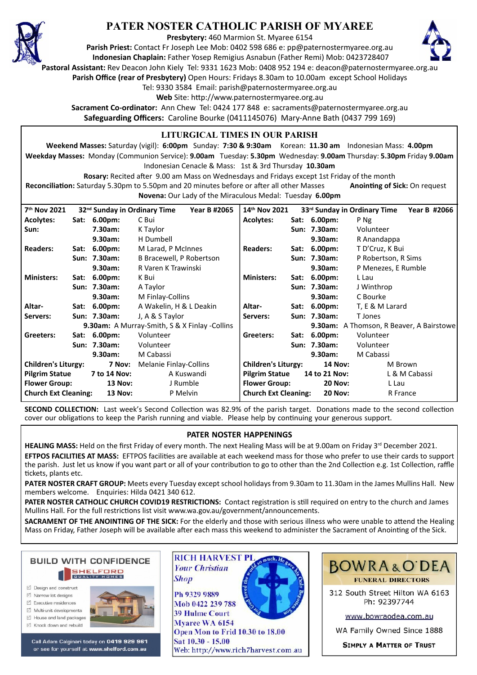

## **PATER NOSTER CATHOLIC PARISH OF MYAREE**

**Presbytery:** 460 Marmion St. Myaree 6154

**Parish Priest:** Contact Fr Joseph Lee Mob: 0402 598 686 e: pp@paternostermyaree.org.au **Indonesian Chaplain:** Father Yosep Remigius Asnabun (Father Remi) Mob: 0423728407



**Pastoral Assistant:** Rev Deacon John Kiely Tel: 9331 1623 Mob: 0408 952 194 e: deacon@paternostermyaree.org.au

**Parish Office (rear of Presbytery)** Open Hours: Fridays 8.30am to 10.00am except School Holidays

Tel: 9330 3584 Email: parish@paternostermyaree.org.au

Web Site: http://www.paternostermyaree.org.au

**Sacrament Co-ordinator:** Ann Chew Tel: 0424 177 848 e: sacraments@paternostermyaree.org.au **Safeguarding Officers:** Caroline Bourke (0411145076) Mary-Anne Bath (0437 799 169)

### **LITURGICAL TIMES IN OUR PARISH**

**Weekend Masses:** Saturday (vigil): **6:00pm** Sunday: **7:30 & 9:30am** Korean: **11.30 am** Indonesian Mass: **4.00pm Weekday Masses:** Monday (Communion Service): **9.00am** Tuesday: **5.30pm** Wednesday: **9.00am** Thursday: **5.30pm** Friday **9.00am** Indonesian Cenacle & Mass: 1st & 3rd Thursday **10.30am**

**Rosary:** Recited a�er 9.00 am Mass on Wednesdays and Fridays except 1st Friday of the month Reconciliation: Saturday 5.30pm to 5.50pm and 20 minutes before or after all other Masses **Anointing of Sick:** On request **Novena:** Our Lady of the Miraculous Medal: Tuesday **6.00pm**

| 32 <sup>nd</sup> Sunday in Ordinary Time             |      |                |                          |                             |      |                    |                                              |
|------------------------------------------------------|------|----------------|--------------------------|-----------------------------|------|--------------------|----------------------------------------------|
| 7 <sup>th</sup> Nov 2021                             |      |                | Year B #2065             | 14 <sup>th</sup> Nov 2021   |      |                    | 33rd Sunday in Ordinary Time<br>Year B #2066 |
| <b>Acolytes:</b>                                     |      | Sat: 6.00pm:   | C Bui                    | Acolytes:                   |      | Sat: 6.00pm:       | P Ng                                         |
| Sun:                                                 |      | 7.30am:        | K Taylor                 |                             |      | Sun: 7.30am:       | Volunteer                                    |
|                                                      |      | 9.30am:        | H Dumbell                |                             |      | 9.30am:            | R Anandappa                                  |
| <b>Readers:</b>                                      |      | Sat: 6.00pm:   | M Larad, P McInnes       | <b>Readers:</b>             | Sat: | $6.00pm$ :         | T D'Cruz, K Bui                              |
|                                                      |      | Sun: 7.30am:   | B Bracewell, P Robertson |                             |      | Sun: 7.30am:       | P Robertson, R Sims                          |
|                                                      |      | 9.30am:        | R Varen K Trawinski      |                             |      | 9.30am:            | P Menezes, E Rumble                          |
| <b>Ministers:</b>                                    | Sat: | $6.00pm$ :     | K Bui                    | <b>Ministers:</b>           | Sat: | 6.00 <sub>pm</sub> | L Lau                                        |
|                                                      |      | Sun: 7.30am:   | A Taylor                 |                             |      | Sun: 7.30am:       | J Winthrop                                   |
|                                                      |      | 9.30am:        | M Finlay-Collins         |                             |      | 9.30am:            | C Bourke                                     |
| Altar-                                               |      | Sat: 6.00pm:   | A Wakelin, H & L Deakin  | Altar-                      |      | Sat: 6.00pm:       | T, E & M Larard                              |
| Servers:                                             |      | Sun: 7.30am:   | J, A & S Taylor          | Servers:                    |      | Sun: 7.30am:       | T Jones                                      |
| <b>9.30am:</b> A Murray-Smith, S & X Finlay -Collins |      |                |                          |                             |      |                    | 9.30am: A Thomson, R Beaver, A Bairstowe     |
| Greeters:                                            |      | Sat: 6.00pm:   | Volunteer                | Greeters:                   | Sat: | 6.00 <sub>pm</sub> | Volunteer                                    |
|                                                      |      | Sun: 7.30am:   | Volunteer                |                             |      | Sun: 7.30am:       | Volunteer                                    |
|                                                      |      | 9.30am:        | M Cabassi                |                             |      | 9.30am:            | M Cabassi                                    |
| <b>Children's Liturgy:</b><br>7 Nov:                 |      |                | Melanie Finlay-Collins   | <b>Children's Liturgy:</b>  |      | <b>14 Nov:</b>     | M Brown                                      |
| <b>Pilgrim Statue</b><br>7 to 14 Nov:                |      |                | A Kuswandi               | <b>Pilgrim Statue</b>       |      | 14 to 21 Nov:      | L & M Cabassi                                |
| <b>Flower Group:</b>                                 |      | <b>13 Nov:</b> | J Rumble                 | <b>Flower Group:</b>        |      | <b>20 Nov:</b>     | L Lau                                        |
| <b>Church Ext Cleaning:</b><br><b>13 Nov:</b>        |      |                | P Melvin                 | <b>Church Ext Cleaning:</b> |      | <b>20 Nov:</b>     | R France                                     |

**SECOND COLLECTION:** Last week's Second Collection was 82.9% of the parish target. Donations made to the second collection cover our obligations to keep the Parish running and viable. Please help by continuing your generous support.

## **PATER NOSTER HAPPENINGS**

HEALING MASS: Held on the first Friday of every month. The next Healing Mass will be at 9.00am on Friday 3<sup>rd</sup> December 2021. **EFTPOS FACILITIES AT MASS:** EFTPOS facili�es are available at each weekend mass for those who prefer to use their cards to support the parish. Just let us know if you want part or all of your contribution to go to other than the 2nd Collection e.g. 1st Collection, raffle tickets, plants etc.

**PATER NOSTER CRAFT GROUP:** Meets every Tuesday except school holidays from 9.30am to 11.30am in the James Mullins Hall. New members welcome. Enquiries: Hilda 0421 340 612.

PATER NOSTER CATHOLIC CHURCH COVID19 RESTRICTIONS: Contact registration is still required on entry to the church and James Mullins Hall. For the full restrictions list visit www.wa.gov.au/government/announcements.

SACRAMENT OF THE ANOINTING OF THE SICK: For the elderly and those with serious illness who were unable to attend the Healing Mass on Friday, Father Joseph will be available after each mass this weekend to administer the Sacrament of Anointing of the Sick.



- ☑ Design and construct
- $\triangledown$  Narrow lot designe  $\triangledown$  Executive residences
- $\overrightarrow{2}$  Multi-unit developments
- M House and land packages
- ☑ Knock down and rebuild



Call Adam Calginari today on 0419 929 961 or see for yourself at www.shelford.com.au



Ph 9329 9889 Mob 0422 239 788 **39 Hulme Court** Myaree WA 6154 Open Mon to Frid 10.30 to 18.00 Sat 10.30 - 15.00 Web: http://www.rich7harvest.com.au



312 South Street Hilton WA 6163 Ph: 92397744

www.bowraodea.com.au

WA Family Owned Since 1888

**SIMPLY A MATTER OF TRUST**